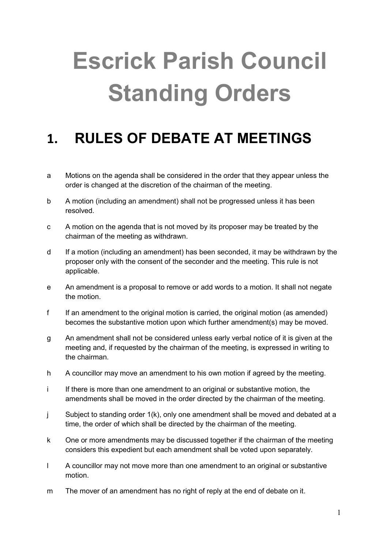# **Escrick Parish Council Standing Orders**

## **1. RULES OF DEBATE AT MEETINGS**

- a Motions on the agenda shall be considered in the order that they appear unless the order is changed at the discretion of the chairman of the meeting.
- b A motion (including an amendment) shall not be progressed unless it has been resolved.
- c A motion on the agenda that is not moved by its proposer may be treated by the chairman of the meeting as withdrawn.
- d If a motion (including an amendment) has been seconded, it may be withdrawn by the proposer only with the consent of the seconder and the meeting. This rule is not applicable.
- e An amendment is a proposal to remove or add words to a motion. It shall not negate the motion.
- f If an amendment to the original motion is carried, the original motion (as amended) becomes the substantive motion upon which further amendment(s) may be moved.
- g An amendment shall not be considered unless early verbal notice of it is given at the meeting and, if requested by the chairman of the meeting, is expressed in writing to the chairman.
- h A councillor may move an amendment to his own motion if agreed by the meeting.
- i If there is more than one amendment to an original or substantive motion, the amendments shall be moved in the order directed by the chairman of the meeting.
- j Subject to standing order 1(k), only one amendment shall be moved and debated at a time, the order of which shall be directed by the chairman of the meeting.
- k One or more amendments may be discussed together if the chairman of the meeting considers this expedient but each amendment shall be voted upon separately.
- l A councillor may not move more than one amendment to an original or substantive motion.
- m The mover of an amendment has no right of reply at the end of debate on it.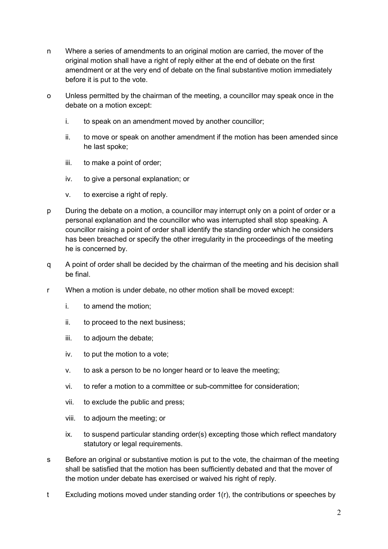- n Where a series of amendments to an original motion are carried, the mover of the original motion shall have a right of reply either at the end of debate on the first amendment or at the very end of debate on the final substantive motion immediately before it is put to the vote.
- o Unless permitted by the chairman of the meeting, a councillor may speak once in the debate on a motion except:
	- i. to speak on an amendment moved by another councillor;
	- ii. to move or speak on another amendment if the motion has been amended since he last spoke;
	- iii. to make a point of order;
	- iv. to give a personal explanation; or
	- v. to exercise a right of reply.
- p During the debate on a motion, a councillor may interrupt only on a point of order or a personal explanation and the councillor who was interrupted shall stop speaking. A councillor raising a point of order shall identify the standing order which he considers has been breached or specify the other irregularity in the proceedings of the meeting he is concerned by.
- q A point of order shall be decided by the chairman of the meeting and his decision shall be final.
- r When a motion is under debate, no other motion shall be moved except:
	- i. to amend the motion;
	- ii. to proceed to the next business;
	- iii. to adjourn the debate;
	- iv. to put the motion to a vote;
	- v. to ask a person to be no longer heard or to leave the meeting;
	- vi. to refer a motion to a committee or sub-committee for consideration;
	- vii. to exclude the public and press;
	- viii. to adjourn the meeting; or
	- ix. to suspend particular standing order(s) excepting those which reflect mandatory statutory or legal requirements.
- s Before an original or substantive motion is put to the vote, the chairman of the meeting shall be satisfied that the motion has been sufficiently debated and that the mover of the motion under debate has exercised or waived his right of reply.
- t Excluding motions moved under standing order 1(r), the contributions or speeches by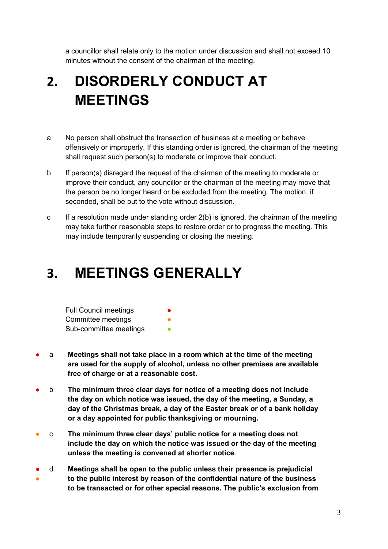a councillor shall relate only to the motion under discussion and shall not exceed 10 minutes without the consent of the chairman of the meeting.

# **2. DISORDERLY CONDUCT AT MEETINGS**

- a No person shall obstruct the transaction of business at a meeting or behave offensively or improperly. If this standing order is ignored, the chairman of the meeting shall request such person(s) to moderate or improve their conduct.
- b If person(s) disregard the request of the chairman of the meeting to moderate or improve their conduct, any councillor or the chairman of the meeting may move that the person be no longer heard or be excluded from the meeting. The motion, if seconded, shall be put to the vote without discussion.
- c If a resolution made under standing order 2(b) is ignored, the chairman of the meeting may take further reasonable steps to restore order or to progress the meeting. This may include temporarily suspending or closing the meeting.

#### **3. MEETINGS GENERALLY**

| <b>Full Council meetings</b> | $\bullet$ |
|------------------------------|-----------|
| Committee meetings           | O         |
| Sub-committee meetings       |           |

- a **Meetings shall not take place in a room which at the time of the meeting are used for the supply of alcohol, unless no other premises are available free of charge or at a reasonable cost.**
- b **The minimum three clear days for notice of a meeting does not include the day on which notice was issued, the day of the meeting, a Sunday, a day of the Christmas break, a day of the Easter break or of a bank holiday or a day appointed for public thanksgiving or mourning.**
- c **The minimum three clear days' public notice for a meeting does not include the day on which the notice was issued or the day of the meeting unless the meeting is convened at shorter notice**.
- ● d **Meetings shall be open to the public unless their presence is prejudicial to the public interest by reason of the confidential nature of the business to be transacted or for other special reasons. The public's exclusion from**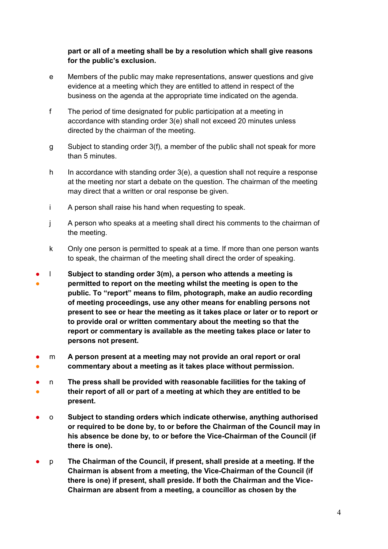#### **part or all of a meeting shall be by a resolution which shall give reasons for the public's exclusion.**

- e Members of the public may make representations, answer questions and give evidence at a meeting which they are entitled to attend in respect of the business on the agenda at the appropriate time indicated on the agenda.
- f The period of time designated for public participation at a meeting in accordance with standing order 3(e) shall not exceed 20 minutes unless directed by the chairman of the meeting.
- g Subject to standing order 3(f), a member of the public shall not speak for more than 5 minutes.
- h In accordance with standing order 3(e), a question shall not require a response at the meeting nor start a debate on the question. The chairman of the meeting may direct that a written or oral response be given.
- i A person shall raise his hand when requesting to speak.
- j A person who speaks at a meeting shall direct his comments to the chairman of the meeting.
- k Only one person is permitted to speak at a time. If more than one person wants to speak, the chairman of the meeting shall direct the order of speaking.
- ● l **Subject to standing order 3(m), a person who attends a meeting is permitted to report on the meeting whilst the meeting is open to the public. To "report" means to film, photograph, make an audio recording of meeting proceedings, use any other means for enabling persons not present to see or hear the meeting as it takes place or later or to report or to provide oral or written commentary about the meeting so that the report or commentary is available as the meeting takes place or later to persons not present.**
- ● m **A person present at a meeting may not provide an oral report or oral commentary about a meeting as it takes place without permission.**
- ● n **The press shall be provided with reasonable facilities for the taking of their report of all or part of a meeting at which they are entitled to be present.**
- o **Subject to standing orders which indicate otherwise, anything authorised or required to be done by, to or before the Chairman of the Council may in his absence be done by, to or before the Vice-Chairman of the Council (if there is one).**
- p **The Chairman of the Council, if present, shall preside at a meeting. If the Chairman is absent from a meeting, the Vice-Chairman of the Council (if there is one) if present, shall preside. If both the Chairman and the Vice-Chairman are absent from a meeting, a councillor as chosen by the**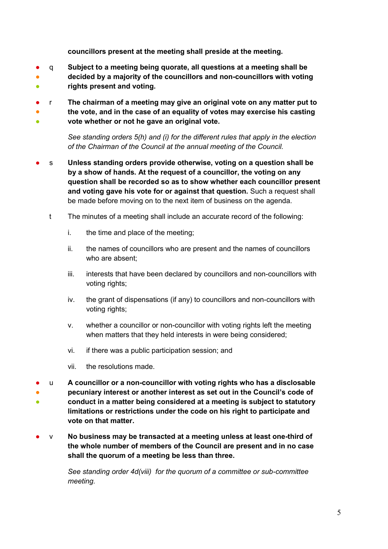**councillors present at the meeting shall preside at the meeting.**

- ●  $\bullet$ q **Subject to a meeting being quorate, all questions at a meeting shall be decided by a majority of the councillors and non-councillors with voting rights present and voting.**
- ● ● r **The chairman of a meeting may give an original vote on any matter put to the vote, and in the case of an equality of votes may exercise his casting vote whether or not he gave an original vote.**

*See standing orders 5(h) and (i) for the different rules that apply in the election of the Chairman of the Council at the annual meeting of the Council.*

- s **Unless standing orders provide otherwise, voting on a question shall be by a show of hands. At the request of a councillor, the voting on any question shall be recorded so as to show whether each councillor present and voting gave his vote for or against that question.** Such a request shall be made before moving on to the next item of business on the agenda.
	- t The minutes of a meeting shall include an accurate record of the following:
		- i. the time and place of the meeting;
		- ii. the names of councillors who are present and the names of councillors who are absent;
		- iii. interests that have been declared by councillors and non-councillors with voting rights;
		- iv. the grant of dispensations (if any) to councillors and non-councillors with voting rights;
		- v. whether a councillor or non-councillor with voting rights left the meeting when matters that they held interests in were being considered;
		- vi. if there was a public participation session; and
		- vii. the resolutions made.
- ● 。<br>一 u **A councillor or a non-councillor with voting rights who has a disclosable pecuniary interest or another interest as set out in the Council's code of conduct in a matter being considered at a meeting is subject to statutory limitations or restrictions under the code on his right to participate and vote on that matter.**
- v **No business may be transacted at a meeting unless at least one-third of the whole number of members of the Council are present and in no case shall the quorum of a meeting be less than three.**

*See standing order 4d(viii) for the quorum of a committee or sub-committee meeting.*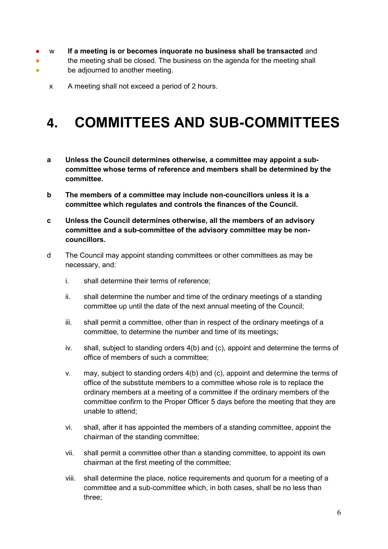- w **If a meeting is or becomes inquorate no business shall be transacted** and
- the meeting shall be closed. The business on the agenda for the meeting shall
- be adjourned to another meeting.
	- x A meeting shall not exceed a period of 2 hours.

#### **4. COMMITTEES AND SUB-COMMITTEES**

- **a Unless the Council determines otherwise, a committee may appoint a subcommittee whose terms of reference and members shall be determined by the committee.**
- **b The members of a committee may include non-councillors unless it is a committee which regulates and controls the finances of the Council.**
- **c Unless the Council determines otherwise, all the members of an advisory committee and a sub-committee of the advisory committee may be noncouncillors.**
- d The Council may appoint standing committees or other committees as may be necessary, and:
	- i. shall determine their terms of reference;
	- ii. shall determine the number and time of the ordinary meetings of a standing committee up until the date of the next annual meeting of the Council;
	- iii. shall permit a committee, other than in respect of the ordinary meetings of a committee, to determine the number and time of its meetings;
	- iv. shall, subject to standing orders 4(b) and (c), appoint and determine the terms of office of members of such a committee;
	- v. may, subject to standing orders 4(b) and (c), appoint and determine the terms of office of the substitute members to a committee whose role is to replace the ordinary members at a meeting of a committee if the ordinary members of the committee confirm to the Proper Officer 5 days before the meeting that they are unable to attend;
	- vi. shall, after it has appointed the members of a standing committee, appoint the chairman of the standing committee;
	- vii. shall permit a committee other than a standing committee, to appoint its own chairman at the first meeting of the committee;
	- viii. shall determine the place, notice requirements and quorum for a meeting of a committee and a sub-committee which, in both cases, shall be no less than three;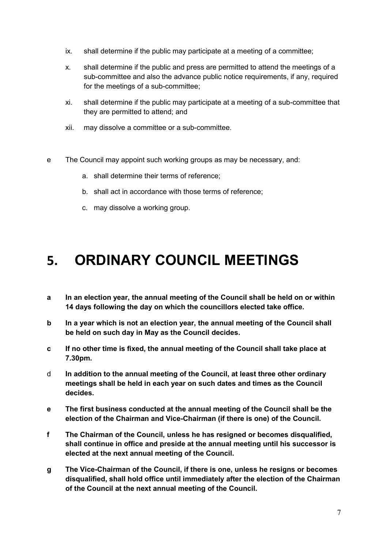- ix. shall determine if the public may participate at a meeting of a committee;
- x. shall determine if the public and press are permitted to attend the meetings of a sub-committee and also the advance public notice requirements, if any, required for the meetings of a sub-committee;
- xi. shall determine if the public may participate at a meeting of a sub-committee that they are permitted to attend; and
- xii. may dissolve a committee or a sub-committee.
- e The Council may appoint such working groups as may be necessary, and:
	- a. shall determine their terms of reference;
	- b. shall act in accordance with those terms of reference;
	- c. may dissolve a working group.

#### **5. ORDINARY COUNCIL MEETINGS**

- **a In an election year, the annual meeting of the Council shall be held on or within 14 days following the day on which the councillors elected take office.**
- **b In a year which is not an election year, the annual meeting of the Council shall be held on such day in May as the Council decides.**
- **c If no other time is fixed, the annual meeting of the Council shall take place at 7.30pm.**
- d **In addition to the annual meeting of the Council, at least three other ordinary meetings shall be held in each year on such dates and times as the Council decides.**
- **e The first business conducted at the annual meeting of the Council shall be the election of the Chairman and Vice-Chairman (if there is one) of the Council.**
- **f The Chairman of the Council, unless he has resigned or becomes disqualified, shall continue in office and preside at the annual meeting until his successor is elected at the next annual meeting of the Council.**
- **g The Vice-Chairman of the Council, if there is one, unless he resigns or becomes disqualified, shall hold office until immediately after the election of the Chairman of the Council at the next annual meeting of the Council.**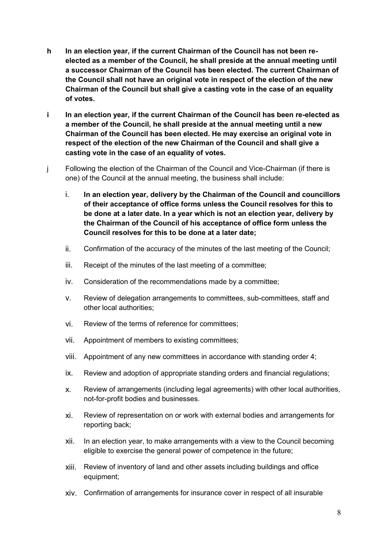- **h In an election year, if the current Chairman of the Council has not been reelected as a member of the Council, he shall preside at the annual meeting until a successor Chairman of the Council has been elected. The current Chairman of the Council shall not have an original vote in respect of the election of the new Chairman of the Council but shall give a casting vote in the case of an equality of votes.**
- **i In an election year, if the current Chairman of the Council has been re-elected as a member of the Council, he shall preside at the annual meeting until a new Chairman of the Council has been elected. He may exercise an original vote in respect of the election of the new Chairman of the Council and shall give a casting vote in the case of an equality of votes.**
- j Following the election of the Chairman of the Council and Vice-Chairman (if there is one) of the Council at the annual meeting, the business shall include:
	- i. **In an election year, delivery by the Chairman of the Council and councillors of their acceptance of office forms unless the Council resolves for this to be done at a later date. In a year which is not an election year, delivery by the Chairman of the Council of his acceptance of office form unless the Council resolves for this to be done at a later date;**
	- ii. Confirmation of the accuracy of the minutes of the last meeting of the Council;
	- iii. Receipt of the minutes of the last meeting of a committee;
	- iv. Consideration of the recommendations made by a committee;
	- v. Review of delegation arrangements to committees, sub-committees, staff and other local authorities;
	- vi. Review of the terms of reference for committees;
	- vii. Appointment of members to existing committees;
	- viii. Appointment of any new committees in accordance with standing order 4;
	- ix. Review and adoption of appropriate standing orders and financial regulations;
	- x. Review of arrangements (including legal agreements) with other local authorities, not-for-profit bodies and businesses.
	- xi. Review of representation on or work with external bodies and arrangements for reporting back;
	- xii. In an election year, to make arrangements with a view to the Council becoming eligible to exercise the general power of competence in the future;
	- xiii. Review of inventory of land and other assets including buildings and office equipment;
	- xiv. Confirmation of arrangements for insurance cover in respect of all insurable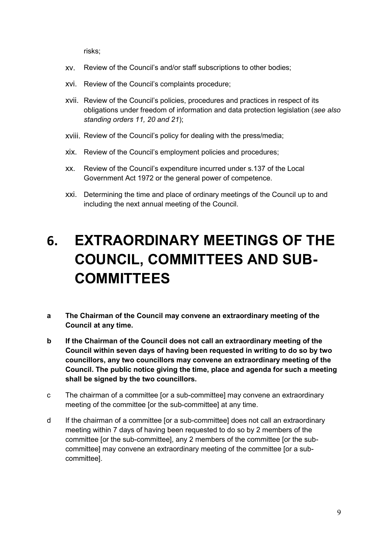risks;

- xv. Review of the Council's and/or staff subscriptions to other bodies;
- xvi. Review of the Council's complaints procedure;
- xvii. Review of the Council's policies, procedures and practices in respect of its obligations under freedom of information and data protection legislation (*see also standing orders 11, 20 and 21*);
- xviii. Review of the Council's policy for dealing with the press/media;
- xix. Review of the Council's employment policies and procedures;
- xx. Review of the Council's expenditure incurred under s.137 of the Local Government Act 1972 or the general power of competence.
- xxi. Determining the time and place of ordinary meetings of the Council up to and including the next annual meeting of the Council.

# **6. EXTRAORDINARY MEETINGS OF THE COUNCIL, COMMITTEES AND SUB-COMMITTEES**

- **a The Chairman of the Council may convene an extraordinary meeting of the Council at any time.**
- **b If the Chairman of the Council does not call an extraordinary meeting of the Council within seven days of having been requested in writing to do so by two councillors, any two councillors may convene an extraordinary meeting of the Council. The public notice giving the time, place and agenda for such a meeting shall be signed by the two councillors.**
- c The chairman of a committee [or a sub-committee] may convene an extraordinary meeting of the committee [or the sub-committee] at any time.
- d If the chairman of a committee [or a sub-committee] does not call an extraordinary meeting within 7 days of having been requested to do so by 2 members of the committee [or the sub-committee], any 2 members of the committee [or the subcommittee] may convene an extraordinary meeting of the committee [or a subcommittee].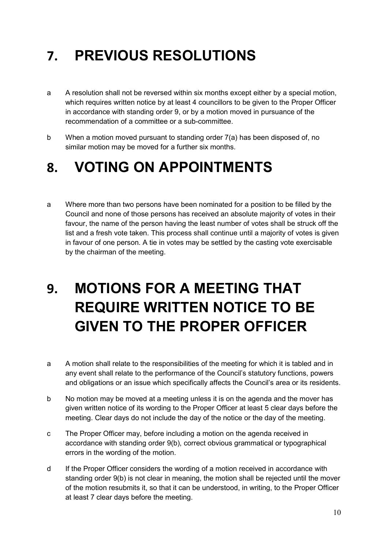# **7. PREVIOUS RESOLUTIONS**

- a A resolution shall not be reversed within six months except either by a special motion, which requires written notice by at least 4 councillors to be given to the Proper Officer in accordance with standing order 9, or by a motion moved in pursuance of the recommendation of a committee or a sub-committee.
- b When a motion moved pursuant to standing order 7(a) has been disposed of, no similar motion may be moved for a further six months.

#### **8. VOTING ON APPOINTMENTS**

a Where more than two persons have been nominated for a position to be filled by the Council and none of those persons has received an absolute majority of votes in their favour, the name of the person having the least number of votes shall be struck off the list and a fresh vote taken. This process shall continue until a majority of votes is given in favour of one person. A tie in votes may be settled by the casting vote exercisable by the chairman of the meeting.

# **9. MOTIONS FOR A MEETING THAT REQUIRE WRITTEN NOTICE TO BE GIVEN TO THE PROPER OFFICER**

- a A motion shall relate to the responsibilities of the meeting for which it is tabled and in any event shall relate to the performance of the Council's statutory functions, powers and obligations or an issue which specifically affects the Council's area or its residents.
- b No motion may be moved at a meeting unless it is on the agenda and the mover has given written notice of its wording to the Proper Officer at least 5 clear days before the meeting. Clear days do not include the day of the notice or the day of the meeting.
- c The Proper Officer may, before including a motion on the agenda received in accordance with standing order 9(b), correct obvious grammatical or typographical errors in the wording of the motion.
- d If the Proper Officer considers the wording of a motion received in accordance with standing order 9(b) is not clear in meaning, the motion shall be rejected until the mover of the motion resubmits it, so that it can be understood, in writing, to the Proper Officer at least 7 clear days before the meeting.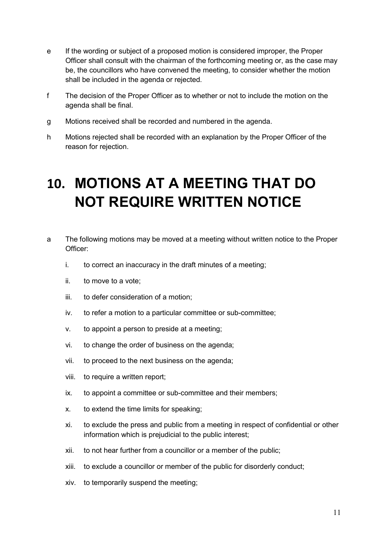- e If the wording or subject of a proposed motion is considered improper, the Proper Officer shall consult with the chairman of the forthcoming meeting or, as the case may be, the councillors who have convened the meeting, to consider whether the motion shall be included in the agenda or rejected.
- f The decision of the Proper Officer as to whether or not to include the motion on the agenda shall be final.
- g Motions received shall be recorded and numbered in the agenda.
- h Motions rejected shall be recorded with an explanation by the Proper Officer of the reason for rejection.

#### **10. MOTIONS AT A MEETING THAT DO NOT REQUIRE WRITTEN NOTICE**

- a The following motions may be moved at a meeting without written notice to the Proper Officer:
	- i. to correct an inaccuracy in the draft minutes of a meeting;
	- ii. to move to a vote;
	- iii. to defer consideration of a motion;
	- iv. to refer a motion to a particular committee or sub-committee;
	- v. to appoint a person to preside at a meeting;
	- vi. to change the order of business on the agenda;
	- vii. to proceed to the next business on the agenda;
	- viii. to require a written report;
	- ix. to appoint a committee or sub-committee and their members;
	- x. to extend the time limits for speaking;
	- xi. to exclude the press and public from a meeting in respect of confidential or other information which is prejudicial to the public interest;
	- xii. to not hear further from a councillor or a member of the public;
	- xiii. to exclude a councillor or member of the public for disorderly conduct;
	- xiv. to temporarily suspend the meeting;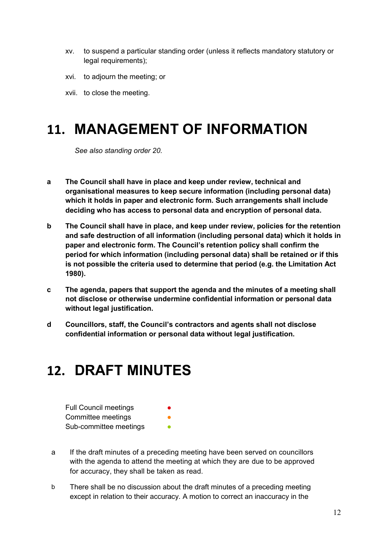- xv. to suspend a particular standing order (unless it reflects mandatory statutory or legal requirements);
- xvi. to adjourn the meeting; or
- xvii. to close the meeting.

#### **11. MANAGEMENT OF INFORMATION**

*See also standing order 20.*

- **a The Council shall have in place and keep under review, technical and organisational measures to keep secure information (including personal data) which it holds in paper and electronic form. Such arrangements shall include deciding who has access to personal data and encryption of personal data.**
- **b The Council shall have in place, and keep under review, policies for the retention and safe destruction of all information (including personal data) which it holds in paper and electronic form. The Council's retention policy shall confirm the period for which information (including personal data) shall be retained or if this is not possible the criteria used to determine that period (e.g. the Limitation Act 1980).**
- **c The agenda, papers that support the agenda and the minutes of a meeting shall not disclose or otherwise undermine confidential information or personal data without legal justification.**
- **d Councillors, staff, the Council's contractors and agents shall not disclose confidential information or personal data without legal justification.**

#### **12. DRAFT MINUTES**

| <b>Full Council meetings</b> | $\bullet$ |
|------------------------------|-----------|
| Committee meetings           | ●         |
| Sub-committee meetings       |           |

- a If the draft minutes of a preceding meeting have been served on councillors with the agenda to attend the meeting at which they are due to be approved for accuracy, they shall be taken as read.
- b There shall be no discussion about the draft minutes of a preceding meeting except in relation to their accuracy. A motion to correct an inaccuracy in the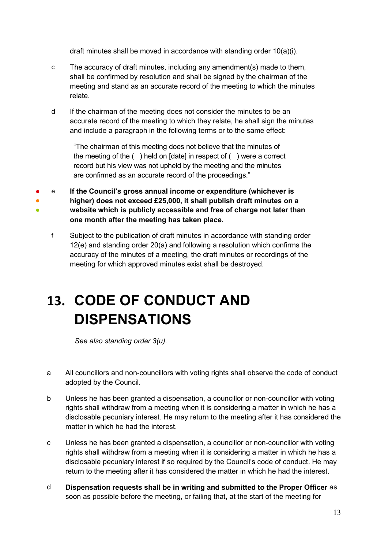draft minutes shall be moved in accordance with standing order 10(a)(i).

- c The accuracy of draft minutes, including any amendment(s) made to them, shall be confirmed by resolution and shall be signed by the chairman of the meeting and stand as an accurate record of the meeting to which the minutes relate.
- d If the chairman of the meeting does not consider the minutes to be an accurate record of the meeting to which they relate, he shall sign the minutes and include a paragraph in the following terms or to the same effect:

"The chairman of this meeting does not believe that the minutes of the meeting of the ( ) held on [date] in respect of ( ) were a correct record but his view was not upheld by the meeting and the minutes are confirmed as an accurate record of the proceedings."

- ● ● e **If the Council's gross annual income or expenditure (whichever is higher) does not exceed £25,000, it shall publish draft minutes on a website which is publicly accessible and free of charge not later than one month after the meeting has taken place.**
	- f Subject to the publication of draft minutes in accordance with standing order 12(e) and standing order 20(a) and following a resolution which confirms the accuracy of the minutes of a meeting, the draft minutes or recordings of the meeting for which approved minutes exist shall be destroyed.

## **13. CODE OF CONDUCT AND DISPENSATIONS**

*See also standing order 3(u).* 

- a All councillors and non-councillors with voting rights shall observe the code of conduct adopted by the Council.
- b Unless he has been granted a dispensation, a councillor or non-councillor with voting rights shall withdraw from a meeting when it is considering a matter in which he has a disclosable pecuniary interest. He may return to the meeting after it has considered the matter in which he had the interest.
- c Unless he has been granted a dispensation, a councillor or non-councillor with voting rights shall withdraw from a meeting when it is considering a matter in which he has a disclosable pecuniary interest if so required by the Council's code of conduct. He may return to the meeting after it has considered the matter in which he had the interest.
- d **Dispensation requests shall be in writing and submitted to the Proper Officer** as soon as possible before the meeting, or failing that, at the start of the meeting for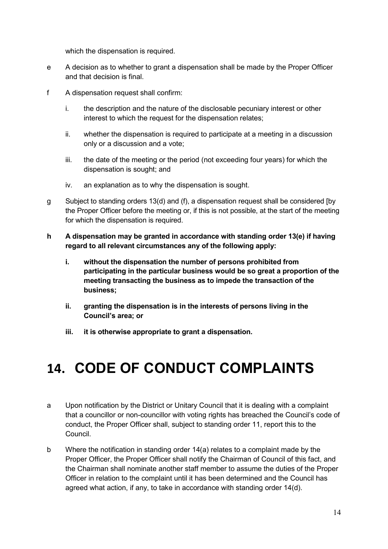which the dispensation is required.

- e A decision as to whether to grant a dispensation shall be made by the Proper Officer and that decision is final.
- f A dispensation request shall confirm:
	- i. the description and the nature of the disclosable pecuniary interest or other interest to which the request for the dispensation relates;
	- ii. whether the dispensation is required to participate at a meeting in a discussion only or a discussion and a vote;
	- iii. the date of the meeting or the period (not exceeding four years) for which the dispensation is sought; and
	- iv. an explanation as to why the dispensation is sought.
- g Subject to standing orders 13(d) and (f), a dispensation request shall be considered [by the Proper Officer before the meeting or, if this is not possible, at the start of the meeting for which the dispensation is required.
- **h A dispensation may be granted in accordance with standing order 13(e) if having regard to all relevant circumstances any of the following apply:**
	- **i. without the dispensation the number of persons prohibited from participating in the particular business would be so great a proportion of the meeting transacting the business as to impede the transaction of the business;**
	- **ii. granting the dispensation is in the interests of persons living in the Council's area; or**
	- **iii. it is otherwise appropriate to grant a dispensation.**

## **14. CODE OF CONDUCT COMPLAINTS**

- a Upon notification by the District or Unitary Council that it is dealing with a complaint that a councillor or non-councillor with voting rights has breached the Council's code of conduct, the Proper Officer shall, subject to standing order 11, report this to the Council.
- b Where the notification in standing order 14(a) relates to a complaint made by the Proper Officer, the Proper Officer shall notify the Chairman of Council of this fact, and the Chairman shall nominate another staff member to assume the duties of the Proper Officer in relation to the complaint until it has been determined and the Council has agreed what action, if any, to take in accordance with standing order 14(d).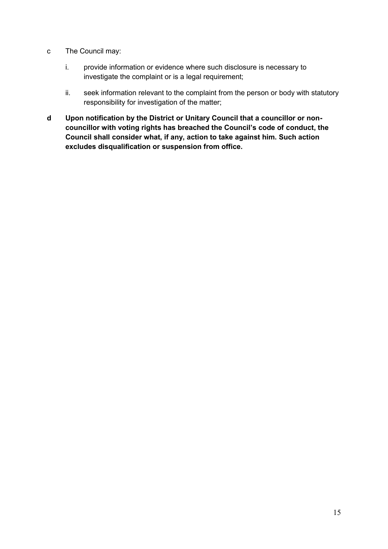- c The Council may:
	- i. provide information or evidence where such disclosure is necessary to investigate the complaint or is a legal requirement;
	- ii. seek information relevant to the complaint from the person or body with statutory responsibility for investigation of the matter;
- **d Upon notification by the District or Unitary Council that a councillor or noncouncillor with voting rights has breached the Council's code of conduct, the Council shall consider what, if any, action to take against him. Such action excludes disqualification or suspension from office.**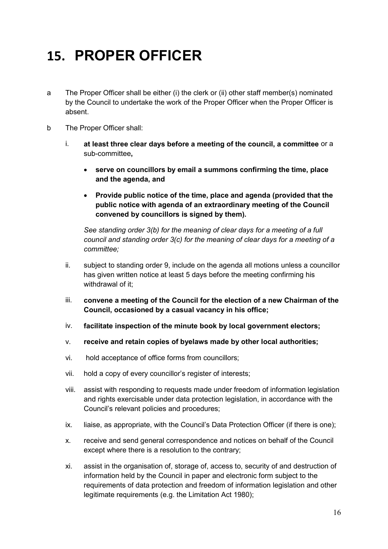## **15. PROPER OFFICER**

- a The Proper Officer shall be either (i) the clerk or (ii) other staff member(s) nominated by the Council to undertake the work of the Proper Officer when the Proper Officer is absent.
- b The Proper Officer shall:
	- i. **at least three clear days before a meeting of the council, a committee** or a sub-committee**,**
		- **serve on councillors by email a summons confirming the time, place and the agenda, and**
		- **Provide public notice of the time, place and agenda (provided that the public notice with agenda of an extraordinary meeting of the Council convened by councillors is signed by them).**

*See standing order 3(b) for the meaning of clear days for a meeting of a full council and standing order 3(c) for the meaning of clear days for a meeting of a committee;*

- ii. subject to standing order 9, include on the agenda all motions unless a councillor has given written notice at least 5 days before the meeting confirming his withdrawal of it:
- iii. **convene a meeting of the Council for the election of a new Chairman of the Council, occasioned by a casual vacancy in his office;**
- iv. **facilitate inspection of the minute book by local government electors;**
- v. **receive and retain copies of byelaws made by other local authorities;**
- vi. hold acceptance of office forms from councillors;
- vii. hold a copy of every councillor's register of interests;
- viii. assist with responding to requests made under freedom of information legislation and rights exercisable under data protection legislation, in accordance with the Council's relevant policies and procedures;
- ix. liaise, as appropriate, with the Council's Data Protection Officer (if there is one);
- x. receive and send general correspondence and notices on behalf of the Council except where there is a resolution to the contrary;
- xi. assist in the organisation of, storage of, access to, security of and destruction of information held by the Council in paper and electronic form subject to the requirements of data protection and freedom of information legislation and other legitimate requirements (e.g. the Limitation Act 1980);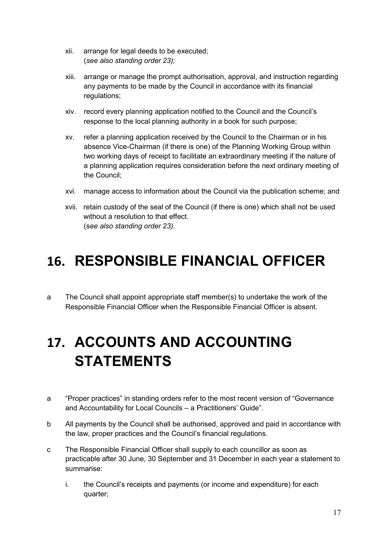- xii. arrange for legal deeds to be executed; (*see also standing order 23);*
- xiii. arrange or manage the prompt authorisation, approval, and instruction regarding any payments to be made by the Council in accordance with its financial regulations;
- xiv. record every planning application notified to the Council and the Council's response to the local planning authority in a book for such purpose;
- xv. refer a planning application received by the Council to the Chairman or in his absence Vice-Chairman (if there is one) of the Planning Working Group within two working days of receipt to facilitate an extraordinary meeting if the nature of a planning application requires consideration before the next ordinary meeting of the Council;
- xvi. manage access to information about the Council via the publication scheme; and
- xvii. retain custody of the seal of the Council (if there is one) which shall not be used without a resolution to that effect. (s*ee also standing order 23).*

#### **16. RESPONSIBLE FINANCIAL OFFICER**

a The Council shall appoint appropriate staff member(s) to undertake the work of the Responsible Financial Officer when the Responsible Financial Officer is absent.

## **17. ACCOUNTS AND ACCOUNTING STATEMENTS**

- a "Proper practices" in standing orders refer to the most recent version of "Governance and Accountability for Local Councils – a Practitioners' Guide".
- b All payments by the Council shall be authorised, approved and paid in accordance with the law, proper practices and the Council's financial regulations.
- c The Responsible Financial Officer shall supply to each councillor as soon as practicable after 30 June, 30 September and 31 December in each year a statement to summarise:
	- i. the Council's receipts and payments (or income and expenditure) for each quarter;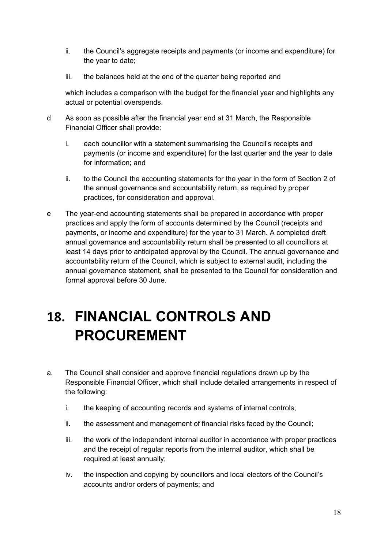- ii. the Council's aggregate receipts and payments (or income and expenditure) for the year to date;
- iii. the balances held at the end of the quarter being reported and

which includes a comparison with the budget for the financial year and highlights any actual or potential overspends.

- d As soon as possible after the financial year end at 31 March, the Responsible Financial Officer shall provide:
	- i. each councillor with a statement summarising the Council's receipts and payments (or income and expenditure) for the last quarter and the year to date for information; and
	- ii. to the Council the accounting statements for the year in the form of Section 2 of the annual governance and accountability return, as required by proper practices, for consideration and approval.
- e The year-end accounting statements shall be prepared in accordance with proper practices and apply the form of accounts determined by the Council (receipts and payments, or income and expenditure) for the year to 31 March. A completed draft annual governance and accountability return shall be presented to all councillors at least 14 days prior to anticipated approval by the Council. The annual governance and accountability return of the Council, which is subject to external audit, including the annual governance statement, shall be presented to the Council for consideration and formal approval before 30 June.

# **18. FINANCIAL CONTROLS AND PROCUREMENT**

- a. The Council shall consider and approve financial regulations drawn up by the Responsible Financial Officer, which shall include detailed arrangements in respect of the following:
	- i. the keeping of accounting records and systems of internal controls;
	- ii. the assessment and management of financial risks faced by the Council;
	- iii. the work of the independent internal auditor in accordance with proper practices and the receipt of regular reports from the internal auditor, which shall be required at least annually;
	- iv. the inspection and copying by councillors and local electors of the Council's accounts and/or orders of payments; and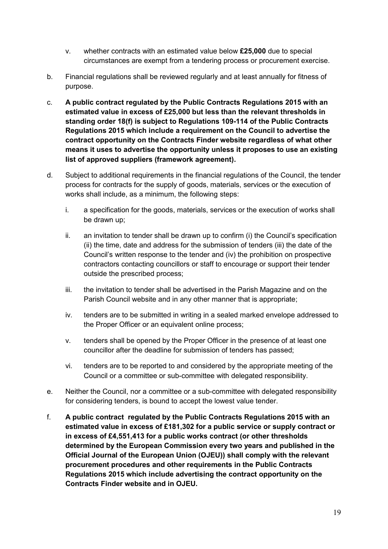- v. whether contracts with an estimated value below **£25,000** due to special circumstances are exempt from a tendering process or procurement exercise.
- b. Financial regulations shall be reviewed regularly and at least annually for fitness of purpose.
- c. **A public contract regulated by the Public Contracts Regulations 2015 with an estimated value in excess of £25,000 but less than the relevant thresholds in standing order 18(f) is subject to Regulations 109-114 of the Public Contracts Regulations 2015 which include a requirement on the Council to advertise the contract opportunity on the Contracts Finder website regardless of what other means it uses to advertise the opportunity unless it proposes to use an existing list of approved suppliers (framework agreement).**
- d. Subject to additional requirements in the financial regulations of the Council, the tender process for contracts for the supply of goods, materials, services or the execution of works shall include, as a minimum, the following steps:
	- i. a specification for the goods, materials, services or the execution of works shall be drawn up;
	- ii. an invitation to tender shall be drawn up to confirm (i) the Council's specification (ii) the time, date and address for the submission of tenders (iii) the date of the Council's written response to the tender and (iv) the prohibition on prospective contractors contacting councillors or staff to encourage or support their tender outside the prescribed process;
	- iii. the invitation to tender shall be advertised in the Parish Magazine and on the Parish Council website and in any other manner that is appropriate;
	- iv. tenders are to be submitted in writing in a sealed marked envelope addressed to the Proper Officer or an equivalent online process;
	- v. tenders shall be opened by the Proper Officer in the presence of at least one councillor after the deadline for submission of tenders has passed;
	- vi. tenders are to be reported to and considered by the appropriate meeting of the Council or a committee or sub-committee with delegated responsibility.
- e. Neither the Council, nor a committee or a sub-committee with delegated responsibility for considering tenders, is bound to accept the lowest value tender.
- f. **A public contract regulated by the Public Contracts Regulations 2015 with an estimated value in excess of £181,302 for a public service or supply contract or in excess of £4,551,413 for a public works contract (or other thresholds determined by the European Commission every two years and published in the Official Journal of the European Union (OJEU)) shall comply with the relevant procurement procedures and other requirements in the Public Contracts Regulations 2015 which include advertising the contract opportunity on the Contracts Finder website and in OJEU.**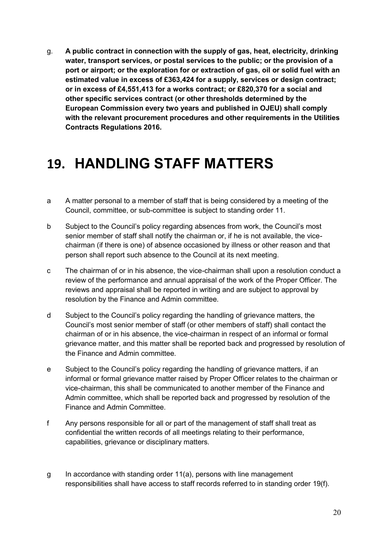g. **A public contract in connection with the supply of gas, heat, electricity, drinking water, transport services, or postal services to the public; or the provision of a port or airport; or the exploration for or extraction of gas, oil or solid fuel with an estimated value in excess of £363,424 for a supply, services or design contract; or in excess of £4,551,413 for a works contract; or £820,370 for a social and other specific services contract (or other thresholds determined by the European Commission every two years and published in OJEU) shall comply with the relevant procurement procedures and other requirements in the Utilities Contracts Regulations 2016.**

#### **19. HANDLING STAFF MATTERS**

- a A matter personal to a member of staff that is being considered by a meeting of the Council, committee, or sub-committee is subject to standing order 11.
- b Subject to the Council's policy regarding absences from work, the Council's most senior member of staff shall notify the chairman or, if he is not available, the vicechairman (if there is one) of absence occasioned by illness or other reason and that person shall report such absence to the Council at its next meeting.
- c The chairman of or in his absence, the vice-chairman shall upon a resolution conduct a review of the performance and annual appraisal of the work of the Proper Officer. The reviews and appraisal shall be reported in writing and are subject to approval by resolution by the Finance and Admin committee.
- d Subject to the Council's policy regarding the handling of grievance matters, the Council's most senior member of staff (or other members of staff) shall contact the chairman of or in his absence, the vice-chairman in respect of an informal or formal grievance matter, and this matter shall be reported back and progressed by resolution of the Finance and Admin committee.
- e Subject to the Council's policy regarding the handling of grievance matters, if an informal or formal grievance matter raised by Proper Officer relates to the chairman or vice-chairman, this shall be communicated to another member of the Finance and Admin committee, which shall be reported back and progressed by resolution of the Finance and Admin Committee.
- f Any persons responsible for all or part of the management of staff shall treat as confidential the written records of all meetings relating to their performance, capabilities, grievance or disciplinary matters.
- $g$  In accordance with standing order 11(a), persons with line management responsibilities shall have access to staff records referred to in standing order 19(f).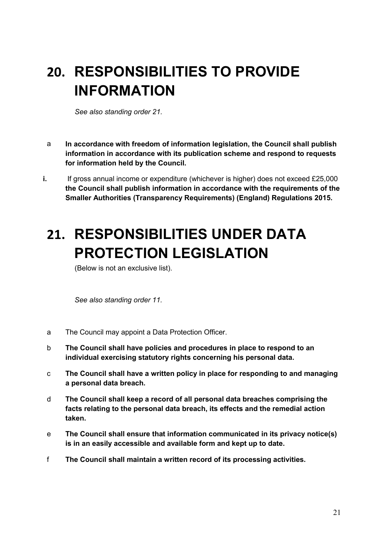# **20. RESPONSIBILITIES TO PROVIDE INFORMATION**

*See also standing order 21.*

- a **In accordance with freedom of information legislation, the Council shall publish information in accordance with its publication scheme and respond to requests for information held by the Council.**
- **i.** If gross annual income or expenditure (whichever is higher) does not exceed £25,000 **the Council shall publish information in accordance with the requirements of the Smaller Authorities (Transparency Requirements) (England) Regulations 2015.**

#### **21. RESPONSIBILITIES UNDER DATA PROTECTION LEGISLATION**

(Below is not an exclusive list).

*See also standing order 11.*

- a The Council may appoint a Data Protection Officer.
- b **The Council shall have policies and procedures in place to respond to an individual exercising statutory rights concerning his personal data.**
- c **The Council shall have a written policy in place for responding to and managing a personal data breach.**
- d **The Council shall keep a record of all personal data breaches comprising the facts relating to the personal data breach, its effects and the remedial action taken.**
- e **The Council shall ensure that information communicated in its privacy notice(s) is in an easily accessible and available form and kept up to date.**
- f **The Council shall maintain a written record of its processing activities.**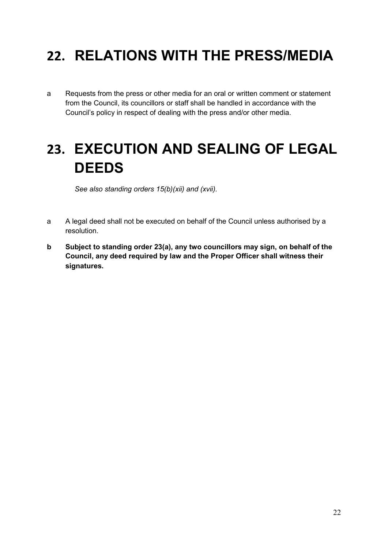# **22. RELATIONS WITH THE PRESS/MEDIA**

a Requests from the press or other media for an oral or written comment or statement from the Council, its councillors or staff shall be handled in accordance with the Council's policy in respect of dealing with the press and/or other media.

#### **23. EXECUTION AND SEALING OF LEGAL DEEDS**

*See also standing orders 15(b)(xii) and (xvii).*

- a A legal deed shall not be executed on behalf of the Council unless authorised by a resolution.
- **b Subject to standing order 23(a), any two councillors may sign, on behalf of the Council, any deed required by law and the Proper Officer shall witness their signatures.**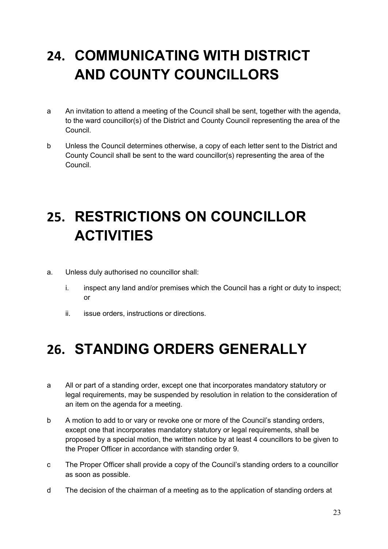## **24. COMMUNICATING WITH DISTRICT AND COUNTY COUNCILLORS**

- a An invitation to attend a meeting of the Council shall be sent, together with the agenda, to the ward councillor(s) of the District and County Council representing the area of the Council.
- b Unless the Council determines otherwise, a copy of each letter sent to the District and County Council shall be sent to the ward councillor(s) representing the area of the Council.

# **25. RESTRICTIONS ON COUNCILLOR ACTIVITIES**

- a. Unless duly authorised no councillor shall:
	- i. inspect any land and/or premises which the Council has a right or duty to inspect; or
	- ii. issue orders, instructions or directions.

#### **26. STANDING ORDERS GENERALLY**

- a All or part of a standing order, except one that incorporates mandatory statutory or legal requirements, may be suspended by resolution in relation to the consideration of an item on the agenda for a meeting.
- b A motion to add to or vary or revoke one or more of the Council's standing orders, except one that incorporates mandatory statutory or legal requirements, shall be proposed by a special motion, the written notice by at least 4 councillors to be given to the Proper Officer in accordance with standing order 9.
- c The Proper Officer shall provide a copy of the Council's standing orders to a councillor as soon as possible.
- d The decision of the chairman of a meeting as to the application of standing orders at